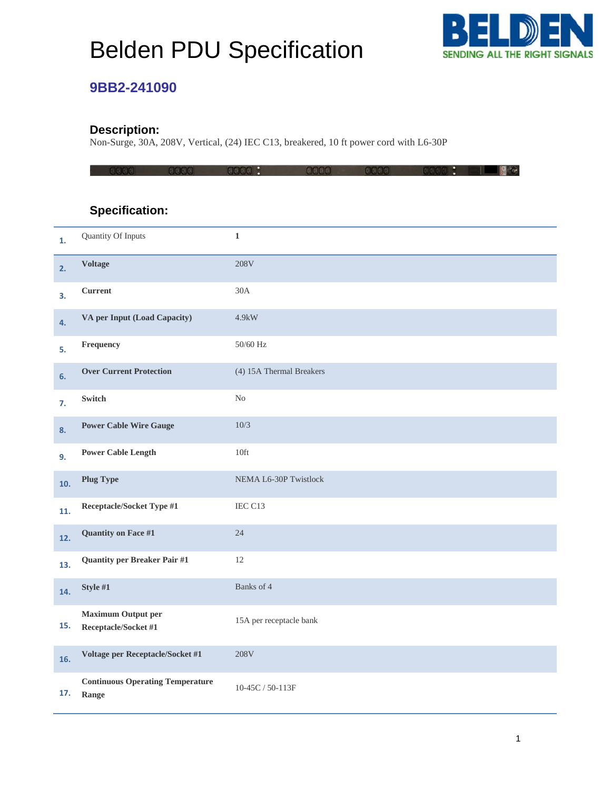# Belden PDU Specification



#### **9BB2-241090**

#### **Description:**

Non-Surge, 30A, 208V, Vertical, (24) IEC C13, breakered, 10 ft power cord with L6-30P

### **Specification:**

| 1.  | Quantity Of Inputs                                | $\mathbf 1$                  |
|-----|---------------------------------------------------|------------------------------|
| 2.  | <b>Voltage</b>                                    | 208V                         |
| З.  | <b>Current</b>                                    | 30A                          |
| 4.  | VA per Input (Load Capacity)                      | 4.9kW                        |
| 5.  | Frequency                                         | 50/60 Hz                     |
| 6.  | <b>Over Current Protection</b>                    | (4) 15A Thermal Breakers     |
| 7.  | Switch                                            | N <sub>o</sub>               |
| 8.  | <b>Power Cable Wire Gauge</b>                     | 10/3                         |
| 9.  | <b>Power Cable Length</b>                         | 10 <sup>ft</sup>             |
| 10. | <b>Plug Type</b>                                  | <b>NEMA L6-30P Twistlock</b> |
| 11. | Receptacle/Socket Type #1                         | IEC C13                      |
| 12. | <b>Quantity on Face #1</b>                        | 24                           |
| 13. | <b>Quantity per Breaker Pair #1</b>               | 12                           |
| 14. | Style #1                                          | Banks of 4                   |
| 15. | <b>Maximum Output per</b><br>Receptacle/Socket #1 | 15A per receptacle bank      |
| 16. | Voltage per Receptacle/Socket #1                  | 208V                         |
| 17. | <b>Continuous Operating Temperature</b><br>Range  | 10-45C / 50-113F             |